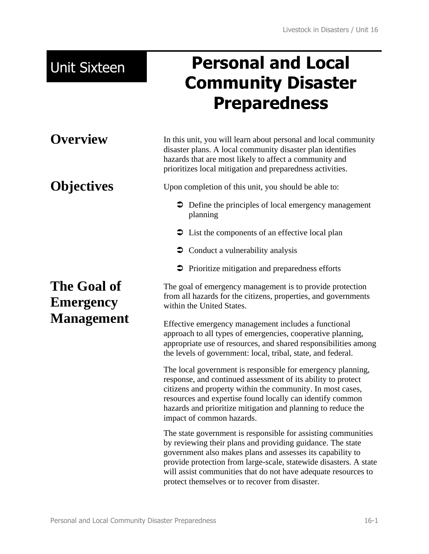# Unit Sixteen **Personal and Local Community Disaster Preparedness**

**Overview** In this unit, you will learn about personal and local community disaster plans. A local community disaster plan identifies hazards that are most likely to affect a community and prioritizes local mitigation and preparedness activities.

**Objectives** Upon completion of this unit, you should be able to:

- Define the principles of local emergency management planning
- $\supset$  List the components of an effective local plan
- $\supset$  Conduct a vulnerability analysis
- $\triangleright$  Prioritize mitigation and preparedness efforts

The goal of emergency management is to provide protection from all hazards for the citizens, properties, and governments within the United States.

Effective emergency management includes a functional approach to all types of emergencies, cooperative planning, appropriate use of resources, and shared responsibilities among the levels of government: local, tribal, state, and federal.

The local government is responsible for emergency planning, response, and continued assessment of its ability to protect citizens and property within the community. In most cases, resources and expertise found locally can identify common hazards and prioritize mitigation and planning to reduce the impact of common hazards.

The state government is responsible for assisting communities by reviewing their plans and providing guidance. The state government also makes plans and assesses its capability to provide protection from large-scale, statewide disasters. A state will assist communities that do not have adequate resources to protect themselves or to recover from disaster.

# **The Goal of Emergency Management**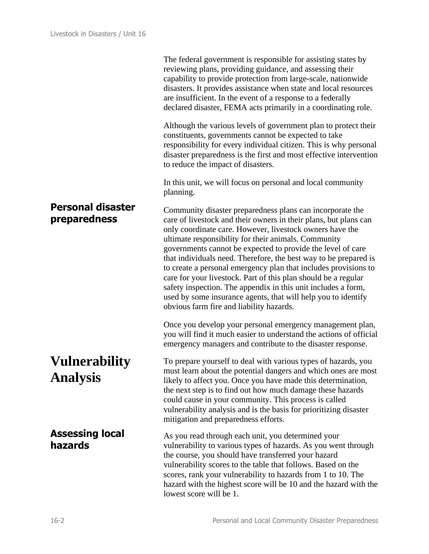|                                          | The federal government is responsible for assisting states by<br>reviewing plans, providing guidance, and assessing their<br>capability to provide protection from large-scale, nationwide<br>disasters. It provides assistance when state and local resources<br>are insufficient. In the event of a response to a federally<br>declared disaster, FEMA acts primarily in a coordinating role.                                                                                                                                                                                                                                                                                                         |
|------------------------------------------|---------------------------------------------------------------------------------------------------------------------------------------------------------------------------------------------------------------------------------------------------------------------------------------------------------------------------------------------------------------------------------------------------------------------------------------------------------------------------------------------------------------------------------------------------------------------------------------------------------------------------------------------------------------------------------------------------------|
|                                          | Although the various levels of government plan to protect their<br>constituents, governments cannot be expected to take<br>responsibility for every individual citizen. This is why personal<br>disaster preparedness is the first and most effective intervention<br>to reduce the impact of disasters.                                                                                                                                                                                                                                                                                                                                                                                                |
|                                          | In this unit, we will focus on personal and local community<br>planning.                                                                                                                                                                                                                                                                                                                                                                                                                                                                                                                                                                                                                                |
| <b>Personal disaster</b><br>preparedness | Community disaster preparedness plans can incorporate the<br>care of livestock and their owners in their plans, but plans can<br>only coordinate care. However, livestock owners have the<br>ultimate responsibility for their animals. Community<br>governments cannot be expected to provide the level of care<br>that individuals need. Therefore, the best way to be prepared is<br>to create a personal emergency plan that includes provisions to<br>care for your livestock. Part of this plan should be a regular<br>safety inspection. The appendix in this unit includes a form,<br>used by some insurance agents, that will help you to identify<br>obvious farm fire and liability hazards. |
|                                          | Once you develop your personal emergency management plan,<br>you will find it much easier to understand the actions of official<br>emergency managers and contribute to the disaster response.                                                                                                                                                                                                                                                                                                                                                                                                                                                                                                          |
| <b>Vulnerability</b><br><b>Analysis</b>  | To prepare yourself to deal with various types of hazards, you<br>must learn about the potential dangers and which ones are most<br>likely to affect you. Once you have made this determination,<br>the next step is to find out how much damage these hazards<br>could cause in your community. This process is called<br>vulnerability analysis and is the basis for prioritizing disaster<br>mitigation and preparedness efforts.                                                                                                                                                                                                                                                                    |
| <b>Assessing local</b><br>hazards        | As you read through each unit, you determined your<br>vulnerability to various types of hazards. As you went through<br>the course, you should have transferred your hazard<br>vulnerability scores to the table that follows. Based on the<br>scores, rank your vulnerability to hazards from 1 to 10. The<br>hazard with the highest score will be 10 and the hazard with the<br>lowest score will be 1.                                                                                                                                                                                                                                                                                              |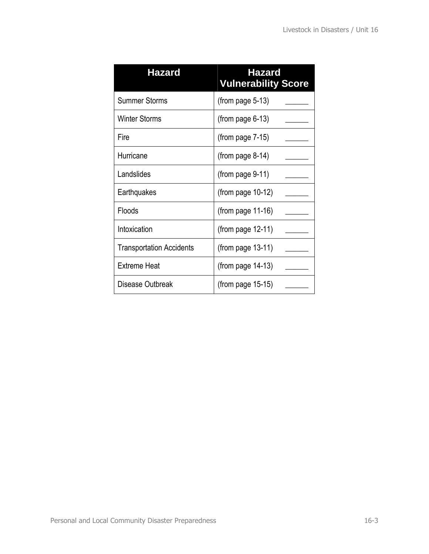| <b>Hazard</b>                   | <b>Hazard</b><br><b>Vulnerability Score</b> |
|---------------------------------|---------------------------------------------|
| <b>Summer Storms</b>            | (from page $5-13$ )                         |
| <b>Winter Storms</b>            | (from page $6-13$ )                         |
| Fire                            | (from page $7-15$ )                         |
| Hurricane                       | (from page $8-14$ )                         |
| Landslides                      | (from page $9-11$ )                         |
| Earthquakes                     | (from page $10-12$ )                        |
| Floods                          | (from page $11-16$ )                        |
| Intoxication                    | (from page $12-11$ )                        |
| <b>Transportation Accidents</b> | (from page $13-11$ )                        |
| <b>Extreme Heat</b>             | (from page $14-13$ )                        |
| Disease Outbreak                | (from page $15-15$ )                        |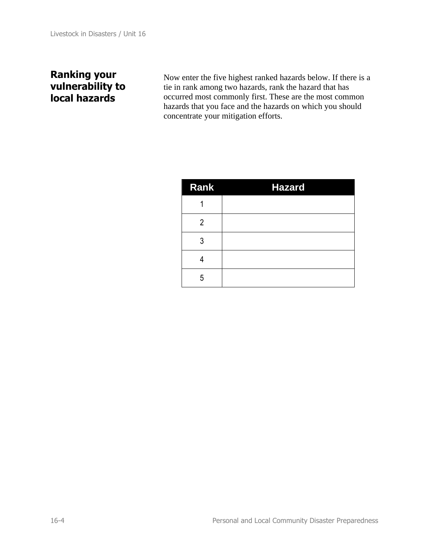### **Ranking your vulnerability to local hazards**

Now enter the five highest ranked hazards below. If there is a tie in rank among two hazards, rank the hazard that has occurred most commonly first. These are the most common hazards that you face and the hazards on which you should concentrate your mitigation efforts.

| Rank | <b>Hazard</b> |
|------|---------------|
|      |               |
| 2    |               |
| 3    |               |
|      |               |
| 5    |               |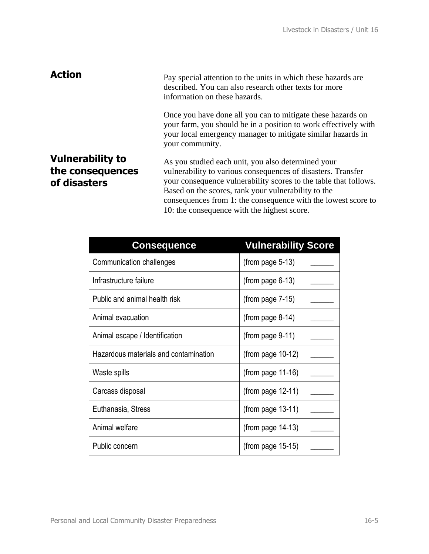**Action** Pay special attention to the units in which these hazards are described. You can also research other texts for more information on these hazards.

> Once you have done all you can to mitigate these hazards on your farm, you should be in a position to work effectively with your local emergency manager to mitigate similar hazards in your community.

#### **Vulnerability to the consequences of disasters**

As you studied each unit, you also determined your vulnerability to various consequences of disasters. Transfer your consequence vulnerability scores to the table that follows. Based on the scores, rank your vulnerability to the consequences from 1: the consequence with the lowest score to 10: the consequence with the highest score.

| <b>Consequence</b>                    | <b>Vulnerability Score</b> |
|---------------------------------------|----------------------------|
| Communication challenges              | $(from page 5-13)$         |
| Infrastructure failure                | $(from page 6-13)$         |
| Public and animal health risk         | $(from page 7-15)$         |
| Animal evacuation                     | $(from page 8-14)$         |
| Animal escape / Identification        | $(from page 9-11)$         |
| Hazardous materials and contamination | (from page $10-12$ )       |
| Waste spills                          | $(from page 11-16)$        |
| Carcass disposal                      | (from page $12-11$ )       |
| Euthanasia, Stress                    | $(from page 13-11)$        |
| Animal welfare                        | $(from page 14-13)$        |
| Public concern                        | $(from page 15-15)$        |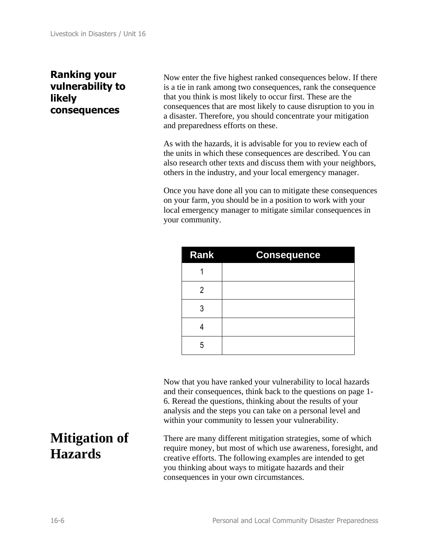### **Ranking your vulnerability to likely consequences**

Now enter the five highest ranked consequences below. If there is a tie in rank among two consequences, rank the consequence that you think is most likely to occur first. These are the consequences that are most likely to cause disruption to you in a disaster. Therefore, you should concentrate your mitigation and preparedness efforts on these.

As with the hazards, it is advisable for you to review each of the units in which these consequences are described. You can also research other texts and discuss them with your neighbors, others in the industry, and your local emergency manager.

Once you have done all you can to mitigate these consequences on your farm, you should be in a position to work with your local emergency manager to mitigate similar consequences in your community.

| <b>Rank</b> | <b>Consequence</b> |
|-------------|--------------------|
|             |                    |
| 2           |                    |
| 3           |                    |
|             |                    |
| 5           |                    |

Now that you have ranked your vulnerability to local hazards and their consequences, think back to the questions on page 1- 6. Reread the questions, thinking about the results of your analysis and the steps you can take on a personal level and within your community to lessen your vulnerability.

There are many different mitigation strategies, some of which require money, but most of which use awareness, foresight, and creative efforts. The following examples are intended to get you thinking about ways to mitigate hazards and their consequences in your own circumstances.

## **Mitigation of Hazards**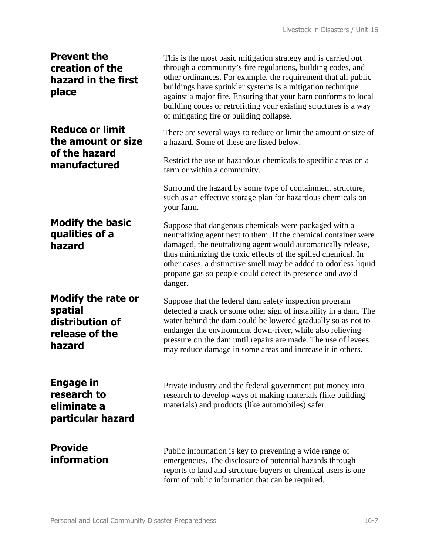| <b>Prevent the</b><br>creation of the<br>hazard in the first<br>place               | This is the most basic mitigation strategy and is carried out<br>through a community's fire regulations, building codes, and<br>other ordinances. For example, the requirement that all public<br>buildings have sprinkler systems is a mitigation technique<br>against a major fire. Ensuring that your barn conforms to local<br>building codes or retrofitting your existing structures is a way<br>of mitigating fire or building collapse. |
|-------------------------------------------------------------------------------------|-------------------------------------------------------------------------------------------------------------------------------------------------------------------------------------------------------------------------------------------------------------------------------------------------------------------------------------------------------------------------------------------------------------------------------------------------|
| <b>Reduce or limit</b><br>the amount or size<br>of the hazard                       | There are several ways to reduce or limit the amount or size of<br>a hazard. Some of these are listed below.                                                                                                                                                                                                                                                                                                                                    |
| manufactured                                                                        | Restrict the use of hazardous chemicals to specific areas on a<br>farm or within a community.                                                                                                                                                                                                                                                                                                                                                   |
|                                                                                     | Surround the hazard by some type of containment structure,<br>such as an effective storage plan for hazardous chemicals on<br>your farm.                                                                                                                                                                                                                                                                                                        |
| <b>Modify the basic</b><br>qualities of a<br>hazard                                 | Suppose that dangerous chemicals were packaged with a<br>neutralizing agent next to them. If the chemical container were<br>damaged, the neutralizing agent would automatically release,<br>thus minimizing the toxic effects of the spilled chemical. In<br>other cases, a distinctive smell may be added to odorless liquid<br>propane gas so people could detect its presence and avoid<br>danger.                                           |
| <b>Modify the rate or</b><br>spatial<br>distribution of<br>release of the<br>hazard | Suppose that the federal dam safety inspection program<br>detected a crack or some other sign of instability in a dam. The<br>water behind the dam could be lowered gradually so as not to<br>endanger the environment down-river, while also relieving<br>pressure on the dam until repairs are made. The use of levees<br>may reduce damage in some areas and increase it in others.                                                          |
| Engage in<br>research to<br>eliminate a<br>particular hazard                        | Private industry and the federal government put money into<br>research to develop ways of making materials (like building<br>materials) and products (like automobiles) safer.                                                                                                                                                                                                                                                                  |
| <b>Provide</b><br>information                                                       | Public information is key to preventing a wide range of<br>emergencies. The disclosure of potential hazards through<br>reports to land and structure buyers or chemical users is one<br>form of public information that can be required.                                                                                                                                                                                                        |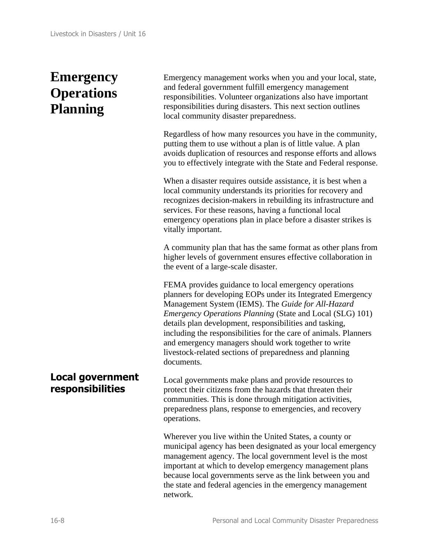# **Emergency Operations Planning**

Emergency management works when you and your local, state, and federal government fulfill emergency management responsibilities. Volunteer organizations also have important responsibilities during disasters. This next section outlines local community disaster preparedness.

Regardless of how many resources you have in the community, putting them to use without a plan is of little value. A plan avoids duplication of resources and response efforts and allows you to effectively integrate with the State and Federal response.

When a disaster requires outside assistance, it is best when a local community understands its priorities for recovery and recognizes decision-makers in rebuilding its infrastructure and services. For these reasons, having a functional local emergency operations plan in place before a disaster strikes is vitally important.

A community plan that has the same format as other plans from higher levels of government ensures effective collaboration in the event of a large-scale disaster.

FEMA provides guidance to local emergency operations planners for developing EOPs under its Integrated Emergency Management System (IEMS). The *Guide for All-Hazard Emergency Operations Planning* (State and Local (SLG) 101) details plan development, responsibilities and tasking, including the responsibilities for the care of animals. Planners and emergency managers should work together to write livestock-related sections of preparedness and planning documents.

**Local government responsibilities**  Local governments make plans and provide resources to protect their citizens from the hazards that threaten their communities. This is done through mitigation activities, preparedness plans, response to emergencies, and recovery operations.

> Wherever you live within the United States, a county or municipal agency has been designated as your local emergency management agency. The local government level is the most important at which to develop emergency management plans because local governments serve as the link between you and the state and federal agencies in the emergency management network.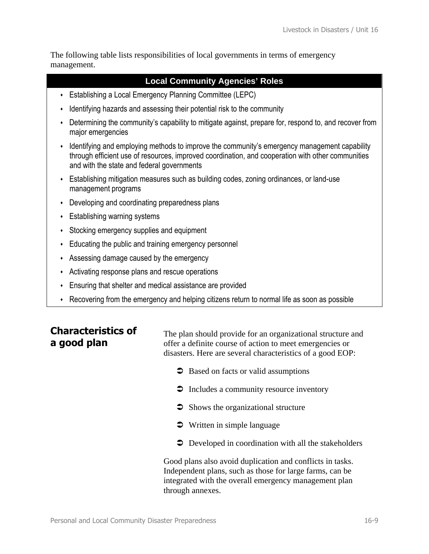The following table lists responsibilities of local governments in terms of emergency management.

#### **Local Community Agencies' Roles**

- **Establishing a Local Emergency Planning Committee (LEPC)**
- $\cdot$  Identifying hazards and assessing their potential risk to the community
- Determining the community's capability to mitigate against, prepare for, respond to, and recover from major emergencies
- Identifying and employing methods to improve the community's emergency management capability through efficient use of resources, improved coordination, and cooperation with other communities and with the state and federal governments
- Establishing mitigation measures such as building codes, zoning ordinances, or land-use management programs
- $\cdot$  Developing and coordinating preparedness plans
- $\cdot$  Establishing warning systems
- Stocking emergency supplies and equipment
- $\cdot$  Educating the public and training emergency personnel
- $\cdot$  Assessing damage caused by the emergency
- Activating response plans and rescue operations
- $\cdot$  Ensuring that shelter and medical assistance are provided
- Recovering from the emergency and helping citizens return to normal life as soon as possible

### **Characteristics of a good plan**

The plan should provide for an organizational structure and offer a definite course of action to meet emergencies or disasters. Here are several characteristics of a good EOP:

- $\supset$  Based on facts or valid assumptions
- $\supset$  Includes a community resource inventory
- $\supset$  Shows the organizational structure
- $\bullet$  Written in simple language
- Developed in coordination with all the stakeholders

Good plans also avoid duplication and conflicts in tasks. Independent plans, such as those for large farms, can be integrated with the overall emergency management plan through annexes.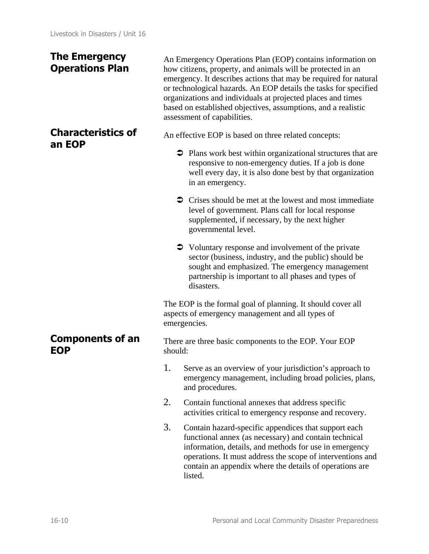### **The Emergency Operations Plan**

### **Characteristics of an EOP**

An Emergency Operations Plan (EOP) contains information on how citizens, property, and animals will be protected in an emergency. It describes actions that may be required for natural or technological hazards. An EOP details the tasks for specified organizations and individuals at projected places and times based on established objectives, assumptions, and a realistic assessment of capabilities.

An effective EOP is based on three related concepts:

- Plans work best within organizational structures that are responsive to non-emergency duties. If a job is done well every day, it is also done best by that organization in an emergency.
- $\supset$  Crises should be met at the lowest and most immediate level of government. Plans call for local response supplemented, if necessary, by the next higher governmental level.
- Voluntary response and involvement of the private sector (business, industry, and the public) should be sought and emphasized. The emergency management partnership is important to all phases and types of disasters.

The EOP is the formal goal of planning. It should cover all aspects of emergency management and all types of emergencies.

There are three basic components to the EOP. Your EOP should:

- 1. Serve as an overview of your jurisdiction's approach to emergency management, including broad policies, plans, and procedures.
- 2. Contain functional annexes that address specific activities critical to emergency response and recovery.
- 3. Contain hazard-specific appendices that support each functional annex (as necessary) and contain technical information, details, and methods for use in emergency operations. It must address the scope of interventions and contain an appendix where the details of operations are listed.

**Components of an EOP**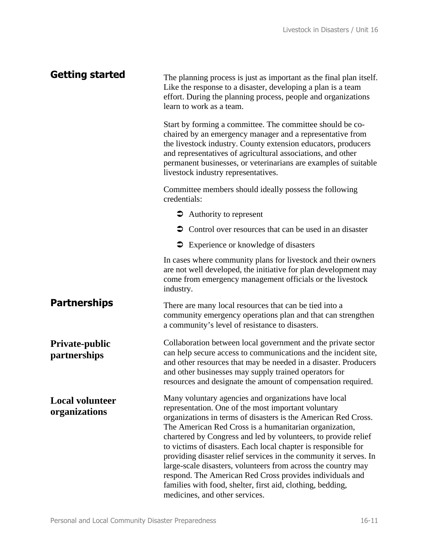| <b>Getting started</b>                  | The planning process is just as important as the final plan itself.<br>Like the response to a disaster, developing a plan is a team<br>effort. During the planning process, people and organizations<br>learn to work as a team.                                                                                                                                                                                                                                                                                                                                                                                                                                              |
|-----------------------------------------|-------------------------------------------------------------------------------------------------------------------------------------------------------------------------------------------------------------------------------------------------------------------------------------------------------------------------------------------------------------------------------------------------------------------------------------------------------------------------------------------------------------------------------------------------------------------------------------------------------------------------------------------------------------------------------|
|                                         | Start by forming a committee. The committee should be co-<br>chaired by an emergency manager and a representative from<br>the livestock industry. County extension educators, producers<br>and representatives of agricultural associations, and other<br>permanent businesses, or veterinarians are examples of suitable<br>livestock industry representatives.                                                                                                                                                                                                                                                                                                              |
|                                         | Committee members should ideally possess the following<br>credentials:                                                                                                                                                                                                                                                                                                                                                                                                                                                                                                                                                                                                        |
|                                         | $\bullet$ Authority to represent                                                                                                                                                                                                                                                                                                                                                                                                                                                                                                                                                                                                                                              |
|                                         | • Control over resources that can be used in an disaster                                                                                                                                                                                                                                                                                                                                                                                                                                                                                                                                                                                                                      |
|                                         | <b>●</b> Experience or knowledge of disasters                                                                                                                                                                                                                                                                                                                                                                                                                                                                                                                                                                                                                                 |
|                                         | In cases where community plans for livestock and their owners<br>are not well developed, the initiative for plan development may<br>come from emergency management officials or the livestock<br>industry.                                                                                                                                                                                                                                                                                                                                                                                                                                                                    |
| <b>Partnerships</b>                     | There are many local resources that can be tied into a<br>community emergency operations plan and that can strengthen<br>a community's level of resistance to disasters.                                                                                                                                                                                                                                                                                                                                                                                                                                                                                                      |
| Private-public<br>partnerships          | Collaboration between local government and the private sector<br>can help secure access to communications and the incident site,<br>and other resources that may be needed in a disaster. Producers<br>and other businesses may supply trained operators for<br>resources and designate the amount of compensation required.                                                                                                                                                                                                                                                                                                                                                  |
| <b>Local volunteer</b><br>organizations | Many voluntary agencies and organizations have local<br>representation. One of the most important voluntary<br>organizations in terms of disasters is the American Red Cross.<br>The American Red Cross is a humanitarian organization,<br>chartered by Congress and led by volunteers, to provide relief<br>to victims of disasters. Each local chapter is responsible for<br>providing disaster relief services in the community it serves. In<br>large-scale disasters, volunteers from across the country may<br>respond. The American Red Cross provides individuals and<br>families with food, shelter, first aid, clothing, bedding,<br>medicines, and other services. |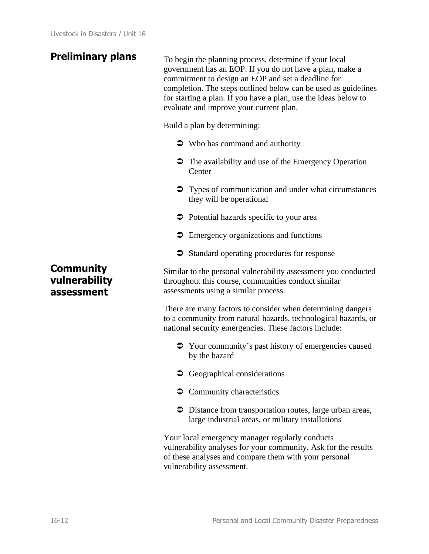**Preliminary plans** To begin the planning process, determine if your local government has an EOP. If you do not have a plan, make a commitment to design an EOP and set a deadline for completion. The steps outlined below can be used as guidelines for starting a plan. If you have a plan, use the ideas below to evaluate and improve your current plan.

Build a plan by determining:

- $\bullet$  Who has command and authority
- The availability and use of the Emergency Operation **Center**
- Types of communication and under what circumstances they will be operational
- Potential hazards specific to your area
- $\supset$  Emergency organizations and functions
- Standard operating procedures for response

Similar to the personal vulnerability assessment you conducted throughout this course, communities conduct similar assessments using a similar process.

There are many factors to consider when determining dangers to a community from natural hazards, technological hazards, or national security emergencies. These factors include:

- Your community's past history of emergencies caused by the hazard
- $\bullet$  Geographical considerations
- $\supset$  Community characteristics
- Distance from transportation routes, large urban areas, large industrial areas, or military installations

Your local emergency manager regularly conducts vulnerability analyses for your community. Ask for the results of these analyses and compare them with your personal vulnerability assessment.

### **Community vulnerability assessment**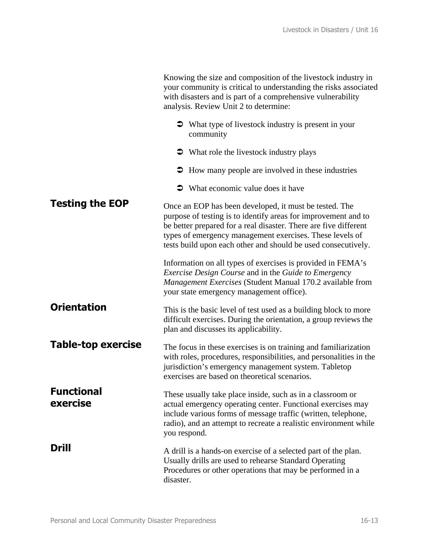|                               | Knowing the size and composition of the livestock industry in<br>your community is critical to understanding the risks associated<br>with disasters and is part of a comprehensive vulnerability<br>analysis. Review Unit 2 to determine:                                                                                 |
|-------------------------------|---------------------------------------------------------------------------------------------------------------------------------------------------------------------------------------------------------------------------------------------------------------------------------------------------------------------------|
|                               | • What type of livestock industry is present in your<br>community                                                                                                                                                                                                                                                         |
|                               | • What role the livestock industry plays                                                                                                                                                                                                                                                                                  |
|                               | • How many people are involved in these industries                                                                                                                                                                                                                                                                        |
|                               | $\bullet$ What economic value does it have                                                                                                                                                                                                                                                                                |
| <b>Testing the EOP</b>        | Once an EOP has been developed, it must be tested. The<br>purpose of testing is to identify areas for improvement and to<br>be better prepared for a real disaster. There are five different<br>types of emergency management exercises. These levels of<br>tests build upon each other and should be used consecutively. |
|                               | Information on all types of exercises is provided in FEMA's<br>Exercise Design Course and in the Guide to Emergency<br>Management Exercises (Student Manual 170.2 available from<br>your state emergency management office).                                                                                              |
| <b>Orientation</b>            | This is the basic level of test used as a building block to more<br>difficult exercises. During the orientation, a group reviews the<br>plan and discusses its applicability.                                                                                                                                             |
| Table-top exercise            | The focus in these exercises is on training and familiarization<br>with roles, procedures, responsibilities, and personalities in the<br>jurisdiction's emergency management system. Tabletop<br>exercises are based on theoretical scenarios.                                                                            |
| <b>Functional</b><br>exercise | These usually take place inside, such as in a classroom or<br>actual emergency operating center. Functional exercises may<br>include various forms of message traffic (written, telephone,<br>radio), and an attempt to recreate a realistic environment while<br>you respond.                                            |
| Drill                         | A drill is a hands-on exercise of a selected part of the plan.<br>Usually drills are used to rehearse Standard Operating<br>Procedures or other operations that may be performed in a<br>disaster.                                                                                                                        |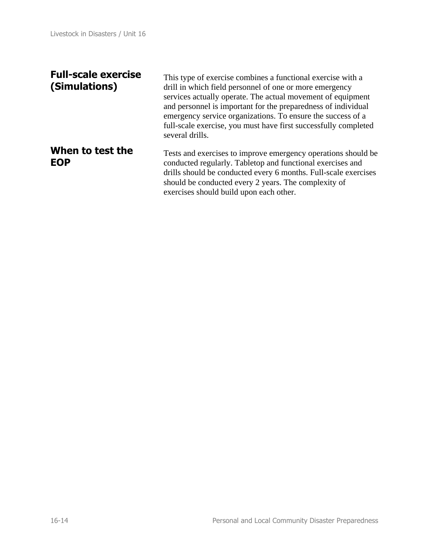### **Full-scale exercise (Simulations)**

This type of exercise combines a functional exercise with a drill in which field personnel of one or more emergency services actually operate. The actual movement of equipment and personnel is important for the preparedness of individual emergency service organizations. To ensure the success of a full-scale exercise, you must have first successfully completed several drills.

#### **When to test the EOP** Tests and exercises to improve emergency operations should be conducted regularly. Tabletop and functional exercises and drills should be conducted every 6 months. Full-scale exercises should be conducted every 2 years. The complexity of exercises should build upon each other.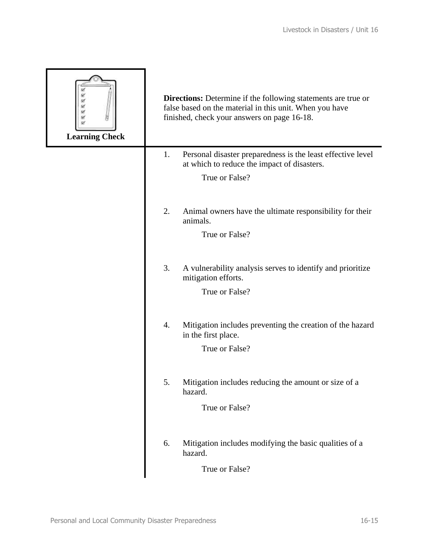| Ÿ<br><b>Learning Check</b> | <b>Directions:</b> Determine if the following statements are true or<br>false based on the material in this unit. When you have<br>finished, check your answers on page 16-18. |
|----------------------------|--------------------------------------------------------------------------------------------------------------------------------------------------------------------------------|
|                            | Personal disaster preparedness is the least effective level<br>1.<br>at which to reduce the impact of disasters.                                                               |
|                            | True or False?                                                                                                                                                                 |
|                            | 2.<br>Animal owners have the ultimate responsibility for their<br>animals.<br>True or False?                                                                                   |
|                            | 3.<br>A vulnerability analysis serves to identify and prioritize<br>mitigation efforts.<br>True or False?                                                                      |
|                            | 4.<br>Mitigation includes preventing the creation of the hazard<br>in the first place.<br>True or False?                                                                       |
|                            | 5.<br>Mitigation includes reducing the amount or size of a<br>hazard.<br>True or False?                                                                                        |
|                            | Mitigation includes modifying the basic qualities of a<br>6.<br>hazard.<br>True or False?                                                                                      |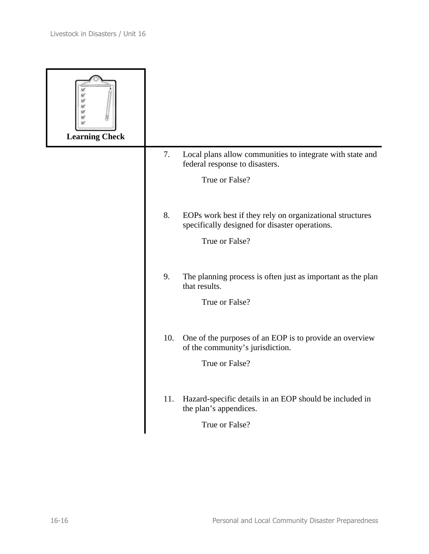| 区<br><b>Learning Check</b> |                                                                                                                  |
|----------------------------|------------------------------------------------------------------------------------------------------------------|
|                            | 7.<br>Local plans allow communities to integrate with state and<br>federal response to disasters.                |
|                            | True or False?                                                                                                   |
|                            | 8.<br>EOPs work best if they rely on organizational structures<br>specifically designed for disaster operations. |
|                            | True or False?                                                                                                   |
|                            | 9.<br>The planning process is often just as important as the plan<br>that results.                               |
|                            | True or False?                                                                                                   |
|                            | 10.<br>One of the purposes of an EOP is to provide an overview<br>of the community's jurisdiction.               |
|                            | True or False?                                                                                                   |
|                            | Hazard-specific details in an EOP should be included in<br>11.<br>the plan's appendices.                         |
|                            | True or False?                                                                                                   |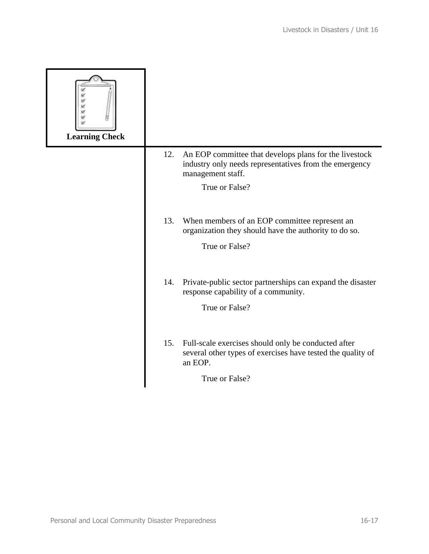| Ÿ<br>œ<br>Ŵ<br><b>Learning Check</b> |                                                                                                                                              |
|--------------------------------------|----------------------------------------------------------------------------------------------------------------------------------------------|
|                                      | An EOP committee that develops plans for the livestock<br>12.<br>industry only needs representatives from the emergency<br>management staff. |
|                                      | True or False?                                                                                                                               |
|                                      | 13.<br>When members of an EOP committee represent an<br>organization they should have the authority to do so.                                |
|                                      | True or False?                                                                                                                               |
|                                      | Private-public sector partnerships can expand the disaster<br>14.<br>response capability of a community.                                     |
|                                      | True or False?                                                                                                                               |
|                                      | 15.<br>Full-scale exercises should only be conducted after<br>several other types of exercises have tested the quality of<br>an EOP.         |
|                                      | True or False?                                                                                                                               |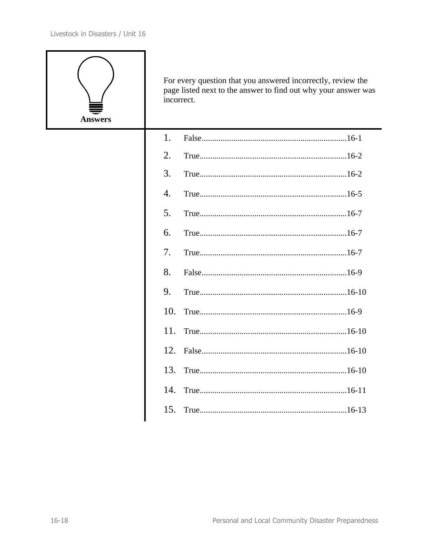

For every question that you answered incorrectly, review the page listed next to the answer to find out why your answer was incorrect.

| 1.               |  |
|------------------|--|
| 2.               |  |
| 3.               |  |
| $\overline{4}$ . |  |
| 5.               |  |
| 6.               |  |
| 7.               |  |
| 8.               |  |
| 9.               |  |
| 10.              |  |
| 11.              |  |
| 12.              |  |
|                  |  |
|                  |  |
|                  |  |